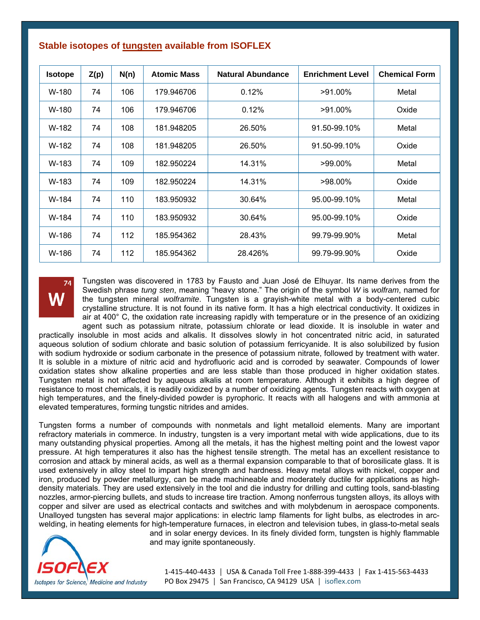| <b>Isotope</b> | Z(p) | N(n) | <b>Atomic Mass</b> | <b>Natural Abundance</b> | <b>Enrichment Level</b> | <b>Chemical Form</b> |
|----------------|------|------|--------------------|--------------------------|-------------------------|----------------------|
| W-180          | 74   | 106  | 179.946706         | 0.12%                    | $>91.00\%$              | Metal                |
| W-180          | 74   | 106  | 179.946706         | 0.12%                    | >91.00%                 | Oxide                |
| W-182          | 74   | 108  | 181.948205         | 26.50%                   | 91.50-99.10%            | Metal                |
| W-182          | 74   | 108  | 181.948205         | 26.50%                   | 91.50-99.10%            | Oxide                |
| W-183          | 74   | 109  | 182.950224         | 14.31%                   | $>99.00\%$              | Metal                |
| W-183          | 74   | 109  | 182.950224         | 14.31%                   | $>98.00\%$              | Oxide                |
| W-184          | 74   | 110  | 183.950932         | 30.64%                   | 95.00-99.10%            | Metal                |
| W-184          | 74   | 110  | 183.950932         | 30.64%                   | 95.00-99.10%            | Oxide                |
| W-186          | 74   | 112  | 185.954362         | 28.43%                   | 99.79-99.90%            | Metal                |
| W-186          | 74   | 112  | 185.954362         | 28.426%                  | 99.79-99.90%            | Oxide                |

## **Stable isotopes of tungsten available from ISOFLEX**

Tungsten was discovered in 1783 by Fausto and Juan José de Elhuyar. Its name derives from the Swedish phrase *tung sten*, meaning "heavy stone." The origin of the symbol *W* is *wolfram*, named for the tungsten mineral *wolframite*. Tungsten is a grayish-white metal with a body-centered cubic crystalline structure. It is not found in its native form. It has a high electrical conductivity. It oxidizes in air at 400° C, the oxidation rate increasing rapidly with temperature or in the presence of an oxidizing agent such as potassium nitrate, potassium chlorate or lead dioxide. It is insoluble in water and

practically insoluble in most acids and alkalis. It dissolves slowly in hot concentrated nitric acid, in saturated aqueous solution of sodium chlorate and basic solution of potassium ferricyanide. It is also solubilized by fusion with sodium hydroxide or sodium carbonate in the presence of potassium nitrate, followed by treatment with water. It is soluble in a mixture of nitric acid and hydrofluoric acid and is corroded by seawater. Compounds of lower oxidation states show alkaline properties and are less stable than those produced in higher oxidation states. Tungsten metal is not affected by aqueous alkalis at room temperature. Although it exhibits a high degree of resistance to most chemicals, it is readily oxidized by a number of oxidizing agents. Tungsten reacts with oxygen at high temperatures, and the finely-divided powder is pyrophoric. It reacts with all halogens and with ammonia at elevated temperatures, forming tungstic nitrides and amides.

Tungsten forms a number of compounds with nonmetals and light metalloid elements. Many are important refractory materials in commerce. In industry, tungsten is a very important metal with wide applications, due to its many outstanding physical properties. Among all the metals, it has the highest melting point and the lowest vapor pressure. At high temperatures it also has the highest tensile strength. The metal has an excellent resistance to corrosion and attack by mineral acids, as well as a thermal expansion comparable to that of borosilicate glass. It is used extensively in alloy steel to impart high strength and hardness. Heavy metal alloys with nickel, copper and iron, produced by powder metallurgy, can be made machineable and moderately ductile for applications as highdensity materials. They are used extensively in the tool and die industry for drilling and cutting tools, sand-blasting nozzles, armor-piercing bullets, and studs to increase tire traction. Among nonferrous tungsten alloys, its alloys with copper and silver are used as electrical contacts and switches and with molybdenum in aerospace components. Unalloyed tungsten has several major applications: in electric lamp filaments for light bulbs, as electrodes in arcwelding, in heating elements for high-temperature furnaces, in electron and television tubes, in glass-to-metal seals



and in solar energy devices. In its finely divided form, tungsten is highly flammable and may ignite spontaneously.

1‐415‐440‐4433 │ USA & Canada Toll Free 1‐888‐399‐4433 │ Fax 1‐415‐563‐4433 PO Box 29475 | San Francisco, CA 94129 USA | isoflex.com